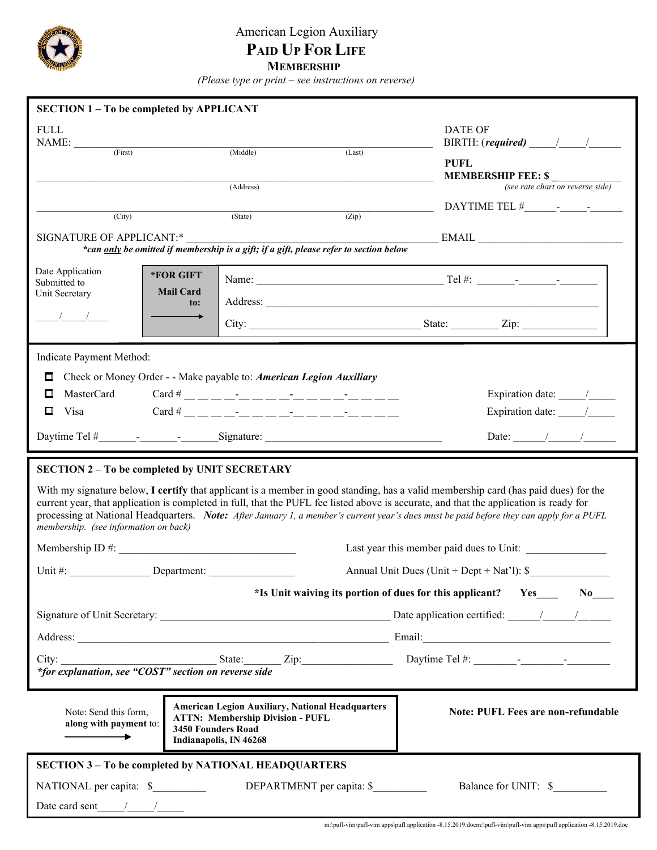

## American Legion Auxiliary  **PAID UP FOR LIFE MEMBERSHIP**

 *(Please type or print – see instructions on reverse)*

| <b>SECTION 1-To be completed by APPLICANT</b>                 |                                                                                                                                                           |                                                                                                                                                                                                                                                                                                                                                                                                                                                                       |
|---------------------------------------------------------------|-----------------------------------------------------------------------------------------------------------------------------------------------------------|-----------------------------------------------------------------------------------------------------------------------------------------------------------------------------------------------------------------------------------------------------------------------------------------------------------------------------------------------------------------------------------------------------------------------------------------------------------------------|
| <b>FULL</b><br>$NAME:$ (First)                                |                                                                                                                                                           | DATE OF<br>BIRTH: $(\textit{required})$ / /                                                                                                                                                                                                                                                                                                                                                                                                                           |
|                                                               | (Middle)<br>(Last)                                                                                                                                        | <b>PUFL</b><br><b>MEMBERSHIP FEE: \$</b>                                                                                                                                                                                                                                                                                                                                                                                                                              |
|                                                               | (Address)                                                                                                                                                 | (see rate chart on reverse side)                                                                                                                                                                                                                                                                                                                                                                                                                                      |
| $\overline{(City)}$                                           | (Zip)<br>(State)                                                                                                                                          |                                                                                                                                                                                                                                                                                                                                                                                                                                                                       |
| SIGNATURE OF APPLICANT:*                                      |                                                                                                                                                           | EMAIL                                                                                                                                                                                                                                                                                                                                                                                                                                                                 |
|                                                               | *can only be omitted if membership is a gift; if a gift, please refer to section below                                                                    |                                                                                                                                                                                                                                                                                                                                                                                                                                                                       |
| Date Application<br>*FOR GIFT<br>Submitted to                 |                                                                                                                                                           |                                                                                                                                                                                                                                                                                                                                                                                                                                                                       |
| <b>Mail Card</b><br>Unit Secretary                            |                                                                                                                                                           |                                                                                                                                                                                                                                                                                                                                                                                                                                                                       |
| to:<br>$\frac{1}{2}$ $\frac{1}{2}$                            |                                                                                                                                                           | City: <u>City:</u> State: Zip: Zip:                                                                                                                                                                                                                                                                                                                                                                                                                                   |
| Indicate Payment Method:                                      |                                                                                                                                                           |                                                                                                                                                                                                                                                                                                                                                                                                                                                                       |
| 0                                                             | Check or Money Order - - Make payable to: American Legion Auxiliary                                                                                       |                                                                                                                                                                                                                                                                                                                                                                                                                                                                       |
| $\Box$<br>MasterCard Card # ______________________            | Expiration date: $\frac{1}{\sqrt{2\pi}}$                                                                                                                  |                                                                                                                                                                                                                                                                                                                                                                                                                                                                       |
| $\Box$ Visa                                                   | $Card \#$ _ _ _ _ _ _ _ _ _ _ _ _ _ _ _ _                                                                                                                 | Expiration date: //                                                                                                                                                                                                                                                                                                                                                                                                                                                   |
|                                                               |                                                                                                                                                           | Date: $\frac{1}{\sqrt{1-\frac{1}{2}}}\frac{1}{\sqrt{1-\frac{1}{2}}}\frac{1}{\sqrt{1-\frac{1}{2}}}\frac{1}{\sqrt{1-\frac{1}{2}}}\frac{1}{\sqrt{1-\frac{1}{2}}}\frac{1}{\sqrt{1-\frac{1}{2}}}\frac{1}{\sqrt{1-\frac{1}{2}}}\frac{1}{\sqrt{1-\frac{1}{2}}}\frac{1}{\sqrt{1-\frac{1}{2}}}\frac{1}{\sqrt{1-\frac{1}{2}}}\frac{1}{\sqrt{1-\frac{1}{2}}}\frac{1}{\sqrt{1-\frac{1}{2}}}\frac{1}{\sqrt{1-\frac{1}{2}}}\frac{1}{\$                                              |
| membership. (see information on back)                         |                                                                                                                                                           | With my signature below, I certify that applicant is a member in good standing, has a valid membership card (has paid dues) for the<br>current year, that application is completed in full, that the PUFL fee listed above is accurate, and that the application is ready for<br>processing at National Headquarters. Note: After January 1, a member's current year's dues must be paid before they can apply for a PUFL<br>Last year this member paid dues to Unit: |
| Unit#:<br>Department:                                         |                                                                                                                                                           | Annual Unit Dues (Unit + Dept + Nat'l): \$                                                                                                                                                                                                                                                                                                                                                                                                                            |
|                                                               |                                                                                                                                                           |                                                                                                                                                                                                                                                                                                                                                                                                                                                                       |
|                                                               |                                                                                                                                                           |                                                                                                                                                                                                                                                                                                                                                                                                                                                                       |
|                                                               |                                                                                                                                                           |                                                                                                                                                                                                                                                                                                                                                                                                                                                                       |
|                                                               |                                                                                                                                                           | Address: Email: Email: Email: Email: Email: Email: Email: Email: Email: Email: Email: Email: Email: Email: Email: Email: Email: Email: Email: Email: Email: Email: Email: Email: Email: Email: Email: Email: Email: Email: Ema                                                                                                                                                                                                                                        |
| City:<br>*for explanation, see "COST" section on reverse side |                                                                                                                                                           | $\frac{1}{2}$ State: $\frac{1}{2}$ Zip: $\frac{1}{2}$ Daytime Tel #: $\frac{1}{2}$ $\frac{1}{2}$ $\frac{1}{2}$ $\frac{1}{2}$ $\frac{1}{2}$ $\frac{1}{2}$ $\frac{1}{2}$ $\frac{1}{2}$ $\frac{1}{2}$ $\frac{1}{2}$ $\frac{1}{2}$ $\frac{1}{2}$ $\frac{1}{2}$ $\frac{1}{2}$ $\frac{1}{2}$ $\frac{1}{2}$ $\frac{$                                                                                                                                                         |
| Note: Send this form,<br>along with payment to:               | <b>American Legion Auxiliary, National Headquarters</b><br><b>ATTN: Membership Division - PUFL</b><br><b>3450 Founders Road</b><br>Indianapolis, IN 46268 | Note: PUFL Fees are non-refundable                                                                                                                                                                                                                                                                                                                                                                                                                                    |
| <b>SECTION 3 - To be completed by NATIONAL HEADQUARTERS</b>   |                                                                                                                                                           |                                                                                                                                                                                                                                                                                                                                                                                                                                                                       |
| NATIONAL per capita: \$                                       | DEPARTMENT per capita: \$                                                                                                                                 | Balance for UNIT: \$                                                                                                                                                                                                                                                                                                                                                                                                                                                  |
| Date card sent $\qquad \qquad / \qquad \qquad /$              |                                                                                                                                                           |                                                                                                                                                                                                                                                                                                                                                                                                                                                                       |